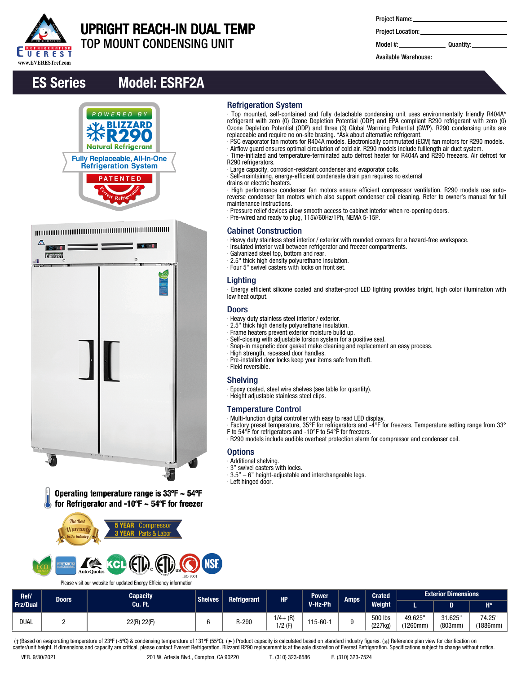

# UPRIGHT REACH-IN DUAL TEMP

TOP MOUNT CONDENSING UNIT

| Project Name: |  |
|---------------|--|
|---------------|--|

Project Location:

Model #: Quantity:

Available Warehouse:

# ES Series Model: ESRF2A



| $\Delta$<br>$30 - 8$<br><b>Comes</b><br>$\odot$<br>۵I | $-0.111$<br>$\circ$<br>$\rightarrow$ |  |
|-------------------------------------------------------|--------------------------------------|--|
|                                                       |                                      |  |
|                                                       |                                      |  |
|                                                       |                                      |  |
|                                                       |                                      |  |
|                                                       |                                      |  |
|                                                       |                                      |  |
| $^{\circ}$<br>$5 - 6$                                 | 'n.<br>$\sim$ $\sim$                 |  |

Operating temperature range is  $33^{\circ}F \sim 54^{\circ}F$ for Refrigerator and -10°F  $\sim$  54°F for freezer



Please visit our website for updated Energy Efficiency information

|  |  | <b>Refrigeration System</b> |
|--|--|-----------------------------|
|  |  |                             |

∙ Top mounted, self-contained and fully detachable condensing unit uses environmentally friendly R404A\* refrigerant with zero (0) Ozone Depletion Potential (ODP) and EPA compliant R290 refrigerant with zero (0) Ozone Depletion Potential (ODP) and three (3) Global Warming Potential (GWP). R290 condensing units are replaceable and require no on-site brazing. \*Ask about alternative refrigerant.

∙ PSC evaporator fan motors for R404A models. Electronically commutated (ECM) fan motors for R290 models. ∙ Airflow guard ensures optimal circulation of cold air. R290 models include fulllength air duct system.

∙ Time-initiated and temperature-terminated auto defrost heater for R404A and R290 freezers. Air defrost for R290 refrigerators.

- ∙ Large capacity, corrosion-resistant condenser and evaporator coils.
- ∙ Self-maintaining, energy-efficient condensate drain pan requires no external
- drains or electric heaters.

∙ High performance condenser fan motors ensure efficient compressor ventilation. R290 models use autoreverse condenser fan motors which also support condenser coil cleaning. Refer to owner's manual for full maintenance instructions.

- ∙ Pressure relief devices allow smooth access to cabinet interior when re-opening doors.
- ∙ Pre-wired and ready to plug, 115V/60Hz/1Ph, NEMA 5-15P.

### Cabinet Construction

∙ Heavy duty stainless steel interior / exterior with rounded corners for a hazard-free workspace.

- ∙ Insulated interior wall between refrigerator and freezer compartments.
- ∙ Galvanized steel top, bottom and rear.
- ∙ 2.5" thick high density polyurethane insulation.
- ∙ Four 5" swivel casters with locks on front set.

#### **Lighting**

∙ Energy efficient silicone coated and shatter-proof LED lighting provides bright, high color illumination with low heat output.

#### Doors

- ∙ Heavy duty stainless steel interior / exterior.
- ∙ 2.5" thick high density polyurethane insulation.
- ∙ Frame heaters prevent exterior moisture build up.
- ∙ Self-closing with adjustable torsion system for a positive seal.
- ∙ Snap-in magnetic door gasket make cleaning and replacement an easy process.
- ∙ High strength, recessed door handles.
- ∙ Pre-installed door locks keep your items safe from theft.
- ∙ Field reversible.

### Shelving

∙ Epoxy coated, steel wire shelves (see table for quantity).

∙ Height adjustable stainless steel clips.

### Temperature Control

∙ Multi-function digital controller with easy to read LED display.

∙ Factory preset temperature, 35°F for refrigerators and -4°F for freezers. Temperature setting range from 33° F to 54°F for refrigerators and -10°F to 54°F for freezers.

∙ R290 models include audible overheat protection alarm for compressor and condenser coil.

### **Options**

- ∙ Additional shelving.
- ∙ 3" swivel casters with locks.
- ∙ 3.5" 6" height-adjustable and interchangeable legs.
- ∙ Left hinged door.

| Ref/               |         | ----<br>Capacity                     |           |         |                         | <b>Power</b>  |  | <b>Crated</b>              |                     | <b>Exterior Dimensions</b> |                    |
|--------------------|---------|--------------------------------------|-----------|---------|-------------------------|---------------|--|----------------------------|---------------------|----------------------------|--------------------|
| Doors.<br>Frz/Dual | Cu. Ft. | <b>Shelves</b><br><b>Refrigerant</b> | <b>HP</b> | V-Hz-Ph | Amps                    | <b>Weight</b> |  |                            | $H^*$               |                            |                    |
| <b>DUAL</b>        |         | 22(R) 22(F)                          |           | R-290   | $1/4 + (R)$<br>$1/2$ (F | 115-60-       |  | 500 lbs<br>1007<br>(227kg) | 49.625"<br>(1260mm) | 31.625<br>(803mm)          | 74.25"<br>(1886mm) |

(†)Based on evaporating temperature of 23ºF (-5ºC) & condensing temperature of 131ºF (55ºC). (ך) Product capacity is calculated based on standard industry figures. (\*) Reference plan view for clarification on<br>caster/unit h

**ISO 9001**